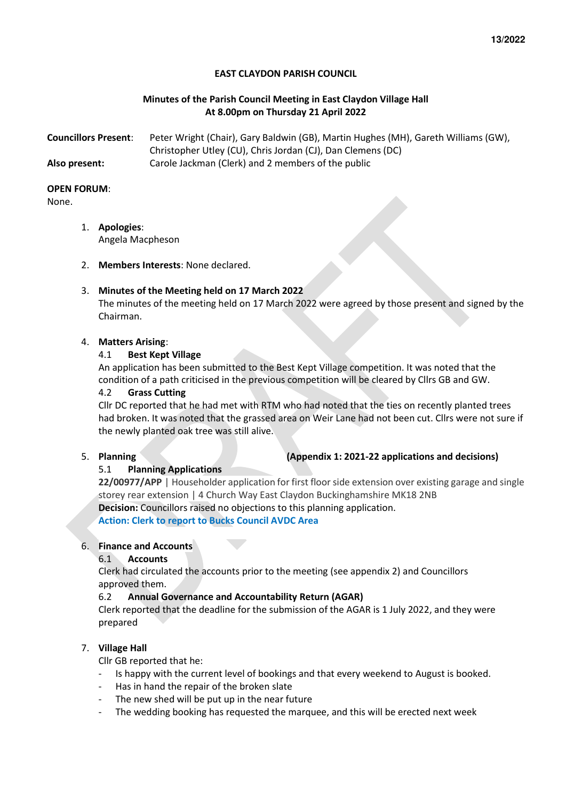#### **EAST CLAYDON PARISH COUNCIL**

#### **Minutes of the Parish Council Meeting in East Claydon Village Hall At 8.00pm on Thursday 21 April 2022**

| <b>Councillors Present:</b> | Peter Wright (Chair), Gary Baldwin (GB), Martin Hughes (MH), Gareth Williams (GW), |
|-----------------------------|------------------------------------------------------------------------------------|
|                             | Christopher Utley (CU), Chris Jordan (CJ), Dan Clemens (DC)                        |
| Also present:               | Carole Jackman (Clerk) and 2 members of the public                                 |

#### **OPEN FORUM**:

None.

- 1. **Apologies**: Angela Macpheson
- 2. **Members Interests**: None declared.

#### 3. **Minutes of the Meeting held on 17 March 2022**

The minutes of the meeting held on 17 March 2022 were agreed by those present and signed by the Chairman.

#### 4. **Matters Arising**:

#### 4.1 **Best Kept Village**

An application has been submitted to the Best Kept Village competition. It was noted that the condition of a path criticised in the previous competition will be cleared by Cllrs GB and GW.

#### 4.2 **Grass Cutting**

Cllr DC reported that he had met with RTM who had noted that the ties on recently planted trees had broken. It was noted that the grassed area on Weir Lane had not been cut. Cllrs were not sure if the newly planted oak tree was still alive.

### 5. **Planning (Appendix 1: 2021-22 applications and decisions)**

#### 5.1 **Planning Applications**

**22/00977/APP** | Householder application for first floor side extension over existing garage and single storey rear extension | 4 Church Way East Claydon Buckinghamshire MK18 2NB **Decision:** Councillors raised no objections to this planning application. **Action: Clerk to report to Bucks Council AVDC Area** 

# 6. **Finance and Accounts**

## 6.1 **Accounts**

Clerk had circulated the accounts prior to the meeting (see appendix 2) and Councillors approved them.

#### 6.2 **Annual Governance and Accountability Return (AGAR)**

Clerk reported that the deadline for the submission of the AGAR is 1 July 2022, and they were prepared

#### 7. **Village Hall**

Cllr GB reported that he:

- Is happy with the current level of bookings and that every weekend to August is booked.
- Has in hand the repair of the broken slate
- The new shed will be put up in the near future
- The wedding booking has requested the marquee, and this will be erected next week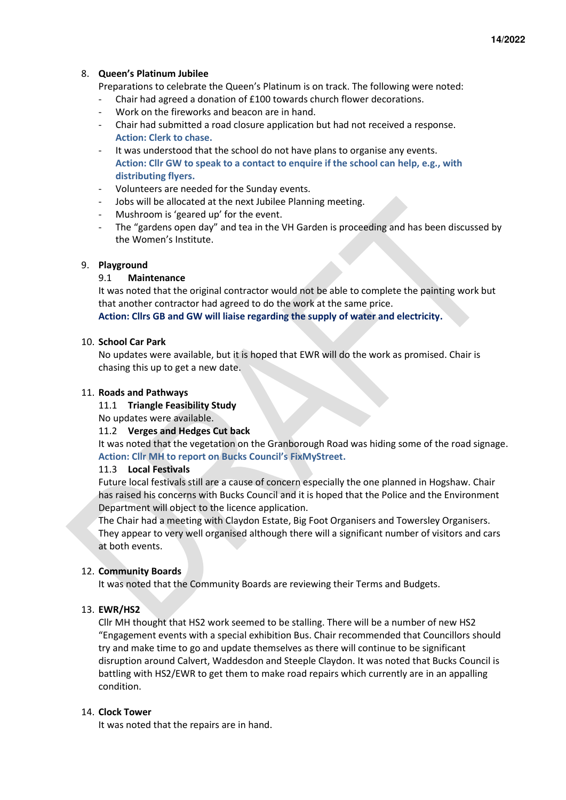**14/2022** 

#### 8. **Queen's Platinum Jubilee**

Preparations to celebrate the Queen's Platinum is on track. The following were noted:

- Chair had agreed a donation of £100 towards church flower decorations.
- Work on the fireworks and beacon are in hand.
- Chair had submitted a road closure application but had not received a response. **Action: Clerk to chase.**
- It was understood that the school do not have plans to organise any events. **Action: Cllr GW to speak to a contact to enquire if the school can help, e.g., with distributing flyers.**
- Volunteers are needed for the Sunday events.
- Jobs will be allocated at the next Jubilee Planning meeting.
- Mushroom is 'geared up' for the event.
- The "gardens open day" and tea in the VH Garden is proceeding and has been discussed by the Women's Institute.

#### 9. **Playground**

#### 9.1 **Maintenance**

It was noted that the original contractor would not be able to complete the painting work but that another contractor had agreed to do the work at the same price.

**Action: Cllrs GB and GW will liaise regarding the supply of water and electricity.** 

#### 10. **School Car Park**

No updates were available, but it is hoped that EWR will do the work as promised. Chair is chasing this up to get a new date.

#### 11. **Roads and Pathways**

#### 11.1 **Triangle Feasibility Study**

No updates were available.

#### 11.2 **Verges and Hedges Cut back**

It was noted that the vegetation on the Granborough Road was hiding some of the road signage. **Action: Cllr MH to report on Bucks Council's FixMyStreet.** 

#### 11.3 **Local Festivals**

Future local festivals still are a cause of concern especially the one planned in Hogshaw. Chair has raised his concerns with Bucks Council and it is hoped that the Police and the Environment Department will object to the licence application.

The Chair had a meeting with Claydon Estate, Big Foot Organisers and Towersley Organisers. They appear to very well organised although there will a significant number of visitors and cars at both events.

#### 12. **Community Boards**

It was noted that the Community Boards are reviewing their Terms and Budgets.

#### 13. **EWR/HS2**

Cllr MH thought that HS2 work seemed to be stalling. There will be a number of new HS2 "Engagement events with a special exhibition Bus. Chair recommended that Councillors should try and make time to go and update themselves as there will continue to be significant disruption around Calvert, Waddesdon and Steeple Claydon. It was noted that Bucks Council is battling with HS2/EWR to get them to make road repairs which currently are in an appalling condition.

#### 14. **Clock Tower**

It was noted that the repairs are in hand.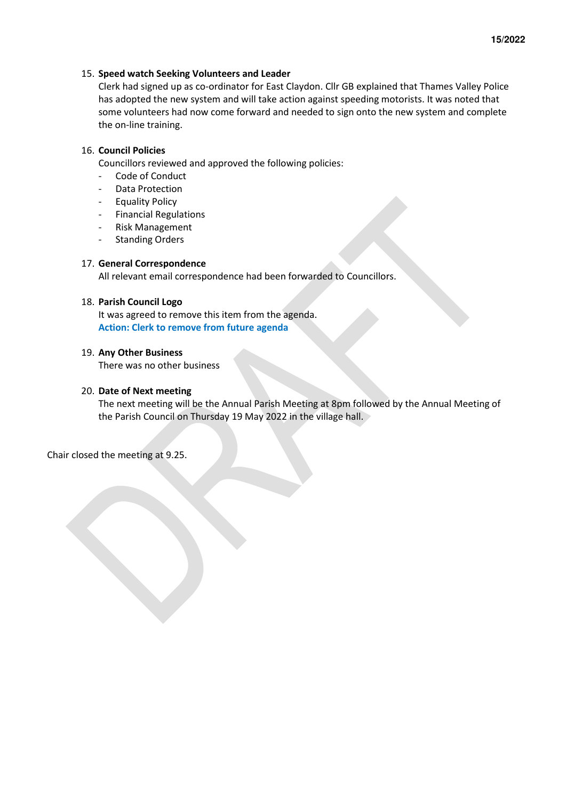#### 15. **Speed watch Seeking Volunteers and Leader**

Clerk had signed up as co-ordinator for East Claydon. Cllr GB explained that Thames Valley Police has adopted the new system and will take action against speeding motorists. It was noted that some volunteers had now come forward and needed to sign onto the new system and complete the on-line training.

#### 16. **Council Policies**

Councillors reviewed and approved the following policies:

- Code of Conduct
- Data Protection
- Equality Policy
- Financial Regulations
- Risk Management
- Standing Orders

#### 17. **General Correspondence**

All relevant email correspondence had been forwarded to Councillors.

#### 18. **Parish Council Logo**

It was agreed to remove this item from the agenda. **Action: Clerk to remove from future agenda** 

#### 19. **Any Other Business**

There was no other business

#### 20. **Date of Next meeting**

The next meeting will be the Annual Parish Meeting at 8pm followed by the Annual Meeting of the Parish Council on Thursday 19 May 2022 in the village hall.

Chair closed the meeting at 9.25.